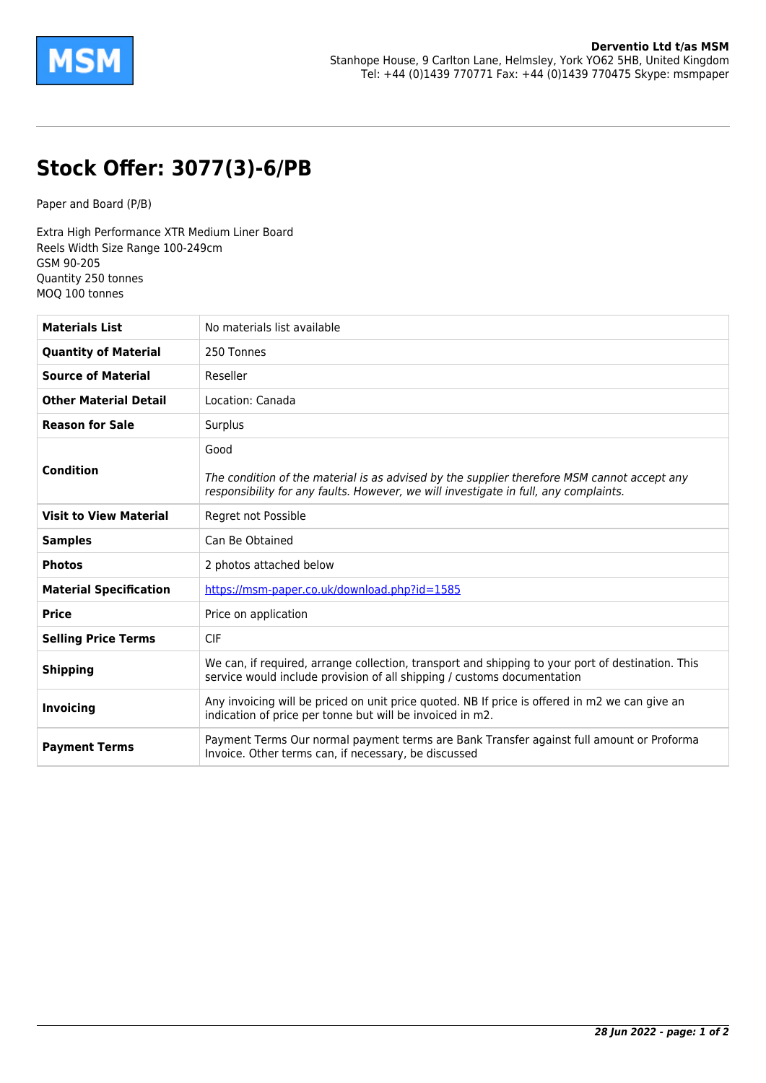

## **Stock Offer: 3077(3)-6/PB**

Paper and Board (P/B)

Extra High Performance XTR Medium Liner Board Reels Width Size Range 100-249cm GSM 90-205 Quantity 250 tonnes MOQ 100 tonnes

| <b>Materials List</b>         | No materials list available                                                                                                                                                                 |
|-------------------------------|---------------------------------------------------------------------------------------------------------------------------------------------------------------------------------------------|
| <b>Quantity of Material</b>   | 250 Tonnes                                                                                                                                                                                  |
| <b>Source of Material</b>     | Reseller                                                                                                                                                                                    |
| <b>Other Material Detail</b>  | Location: Canada                                                                                                                                                                            |
| <b>Reason for Sale</b>        | Surplus                                                                                                                                                                                     |
| <b>Condition</b>              | Good<br>The condition of the material is as advised by the supplier therefore MSM cannot accept any<br>responsibility for any faults. However, we will investigate in full, any complaints. |
| <b>Visit to View Material</b> | Regret not Possible                                                                                                                                                                         |
| <b>Samples</b>                | Can Be Obtained                                                                                                                                                                             |
| <b>Photos</b>                 | 2 photos attached below                                                                                                                                                                     |
| <b>Material Specification</b> | https://msm-paper.co.uk/download.php?id=1585                                                                                                                                                |
| <b>Price</b>                  | Price on application                                                                                                                                                                        |
| <b>Selling Price Terms</b>    | <b>CIF</b>                                                                                                                                                                                  |
| <b>Shipping</b>               | We can, if required, arrange collection, transport and shipping to your port of destination. This<br>service would include provision of all shipping / customs documentation                |
| <b>Invoicing</b>              | Any invoicing will be priced on unit price quoted. NB If price is offered in m2 we can give an<br>indication of price per tonne but will be invoiced in m2.                                 |
| <b>Payment Terms</b>          | Payment Terms Our normal payment terms are Bank Transfer against full amount or Proforma<br>Invoice. Other terms can, if necessary, be discussed                                            |